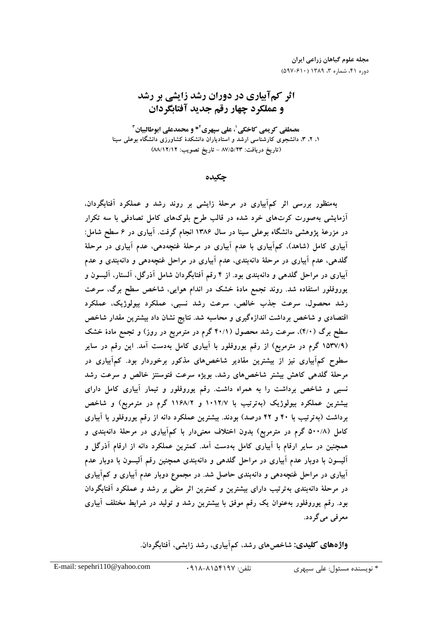مجله علوم گیاهان زراعی ایران دوره ۴۱، شماره ۳، ۱۳۸۹ (۶۱۰-۵۹۷)

# اثر كمآبياري در دوران رشد زايشي بر رشد و عملكرد چهار رقم جديد آفتابگردان

<sup>3</sup>**\*** و محمدعلي ابوطالبيان <sup>2</sup> ، علي سپهري <sup>1</sup> مصطفي كريمي كاخكي ۱، ۳، ۳، دانشجوی کارشناسی ارشد و استادیاران دانشکدهٔ کشاورزی دانشگاه بوعلی سینا (تاريخ دريافت: ٨٧/٥/٢٣ - تاريخ تصويب: ٨٨/١٢/١٢)

چكيده

.<br>په منظور پررسي اثر كم آبياري در مرحلهٔ زايشي پر روند رشد و عملكرد آفتايگردان، ۔<br>آزمایشہ رومبورت کی تھای خرد شدہ در قالب طرح بلوکھای کامل تصادفی یا سه تکرار در مزرعهٔ بژوهشه دانشگاه بوعلی سبنا در سال ۱۳۸۶ انجام گرفت. آبیاری در ۶ سطح شاما : .<br>آبیاری کامل (شاهد)، کیمآبیاری با عدم آبیاری در مرحلهٔ غنجهدهه، عدم آبیاری در مرحلهٔ گلدهی، عدم آبیاری در مرحلهٔ دانهبندی، عدم آبیاری در مراحل غنجهدهی و دانهبندی و عدم آبیاری در مراحل گلدهی و دانهبندی بود. از ۴ رقم آفتابگردان شامل آذرگل، آلستار، آلیسون و به روفله راستفاده شد. روند تحمع مادهٔ خشک در اندام هوایی، شاخص سطح برگ، سرعت .<br>د شد محصول، سرعت حذب خالص، سرعت رشد نسبی، عملکرد پیولوژیک، عملکرد اقتصادی و شاخص د داشت اندازه گیری و محاسبه شد. نتایج نشان داد بیشترین مقدار شاخص سطح برگ (۴/۰)، سرعت رشد محصول (۴۰/۱ گرم در مترمربو در روز) و تحمع مادهٔ خشک (۱۵۳۷/۹ گرم در مترمریع) از رقم بوروفلور با آبیاری کامل بهدست آمد. این رقم در سایر سطه حرکهآبیاری نیز از پیشترین مقادر شاخص های مذکور برخوردار بود. کیمآبیاری در مرحلهٔ گلدهر کاهش بیشتر شاخص های رشد، بویژه سرعت فتوسنتز خالص و سرعت رشد .<br>نسبه و شاخص د داشت را به همراه داشت. رقم بوروفلور و تیمار آبیاری کامل دارای .<br>بیشترین عملکرد پیولوژیک (بهترتیب یا ۱۰۱۲/۷ و ۱۱۶۸/۲ گرم در مترمریع) و شاخص د داشت (په تو تب با ۴۰ و ۴۲ درصد) بودند. پیشترین عملکرد دانه از رقم بوروفلور با آبیاری کامل (۵۰۰/۸ گ م در مترمریع) بدون اختلاف معنی دار با که آبیاری در مرحلهٔ دانهبندی و همچنین در سایر ارقام با آبیاری کامل بهدست آمد. کمترین عملکرد دانه از ارقام آذرگل و آلیسون با دوبار عدم آبیاری در مراجل گلدهر و دانهبندی همچنین رقم آلیسون با دوبار عدم .<br>آبیاری در مراحل غنجهده و دانهبندی حاصل شد. در مجموع دوبار عدم آبیاری و کیرآبیاری در مرحلهٔ دانهیندی بهترتیب دارای بیشترین و کمترین اثر منفر بر رشد و عملکرد آفتابگردان بود. رقم بوروفلور بهعنوان یک رقم موفق با بیشترین رشد و تولید در شرایط مختلف آبیاری معرفي مي گردد.

**واژههای کلیدی:** شاخصهای رشد، کم|َبیاری، رشد زایشی، اَفتابگردان.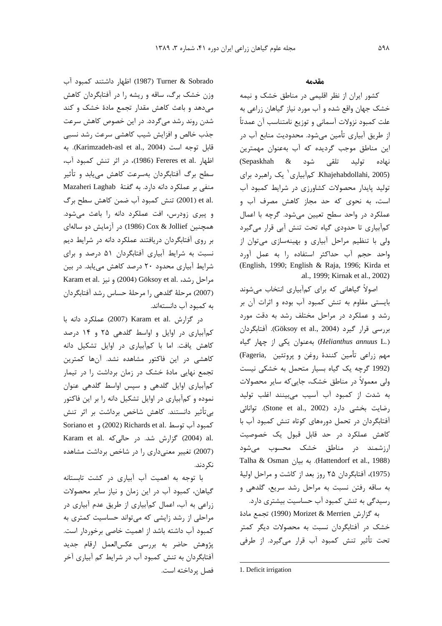Turner & Sobrado (1987) اظهار داشتند كمبود آب وزن خشک برگ، ساقه و ریشه را در آفتابگردان کاهش می دهد و باعث کاهش مقدار تجمع مادهٔ خشک و کند شدن روند رشد مے گردد. در این خصوص کاهش سرعت حذب خالص و افزایش شیب کاهشی سرعت رشد نسب*ی* قابل توجه است (Karimzadeh-asl et al., 2004). به اظهار .Fereres et al (1986)، در اثر تنش كمبود آب، سطح برگ أفتابگردان بهسرعت كاهش مىيابد و تأثير .<br>منفی بر عملکرد دانه دارد. به گفتهٔ Mazaheri Laghab .et al (2001) تنش كمبود آب ضمن كاهش سطح برگ و بنری زود<sub>ن</sub>س، افت عملکرد دانه را باعث مے شود. همچنین Cox & Jollief (1986) در آزمایش دو سالهای د روی آفتابگردان دریافتند عملکرد دانه در شرایط دیم .<br>نسبت به شرایط آبیاری آفتابگردان ۵۱ درصد و برای شرایط آبیاری محدود ۲۰ درصد کاهش مییابد. در بین مراحل رشد، .Göksoy et al (2004) و نيز .Karam et al (2007) مرحلهٔ گلدهی را مرحلهٔ حساس رشد آفتابگردان به کمیود آب دانستهاند.

در گزارش .Karam et al (2007) عملكرد دانه با کمآبیاری در اوایل و اواسط گلدهی ۲۵ و ۱۴ درصد ۔<br>کاهش یافت. اما یا کہآبیاری در اوایل تشکیل دانه ۔<br>کاهشے در این فاکتور مشاهده نشد. آنها کمترین .<br>تحمع نقابی مادهٔ خشک در زمان برداشت را در تیمار ۔<br>کہآبیاری اوایل گلدھی و سپس اواسط گلدھی عنوان .<br>نموده و کمآییاری در اوایل تشکیل دانه را بر این فاکتور .<br>به تأثیر ادانستند. کاهش شاخص برداشت بر اثر تنش كمبود آب توسط .Richards et al (2002) و Soriano et Karam et al. كزارش شد. در حالي كه Karam et al. (2007) تغییر معنی داری را در شاخص برداشت مشاهده نک دند.

.<br>با توجه به اهمیت آب آبیاری در کشت تابستانه گیاهان، کمپود آب در این زمان و نباز سایر محصولات زراعی به أب، اعمال کمآبیاری از طریق عدم أبیاری در مراحلی از رشد زایش*ی* که مرتواند حساسیت کمتری به کمیود آب داشته باشد از اهمیت خاصی برخوردار است. پژوهش حاضر به بررسی عکسالعمل ارقام جدید .<br>آفتابگردان به تنش کمیود آب در شرایط کم آبیاری آخر فصل پرداخته است.

#### مقدمه

کشور ایران از نظر اقلیمه ردر مناطق خشک و نیمه خشک حهان واقع شده و آب مورد نیاز گیاهان زراعی به علت كمبود نزولات آسماني و توزيع نامتناسب آن عمدتاً ا: طريق أيباري تأمين مرشود. محدوديت منابع أب د. این مناطق موجب گردیده که آب بهعنوان مهمترین .<br>نهاده تولید تلقی شود & Sepaskhah) کمآبیاری<sup>۱</sup> یک راهبرد برای Khajehabdollahi, 2005) تولید بایدار محصولات کشاهرزی در شرایط کمبود آب .<br>است، به نحوی که حد محا: کاهش مصرف آب و .<br>عملکرد در واحد سطح تعیین مرشود. گرجه با اعمال كمآبياري تا حدودي گياه تحت تنش آبي قرار ميگيرد .<br>ولي با تنظيم مراحل آبياري و بهينهسازي مرتوان از واحد حجم أب حداكثر استفاده را به عمل أورد (English, 1990; English & Raja, 1996; Kirda et .al., 1999; Kirnak et al., 2002)

اصولاً گیاهانی که برای کمآبیاری انتخاب مرشوند باسته مقاوم به تنش کمبود آب بوده و اثرات آن بر . شد و عملکرد د. مراحل مختلف . شد به دق*ت* مورد بررسي قرار گيرد (Göksoy et al., 2004). آفتابگردان (*Helianthus annuus* L.) بەعنوان یکی از چھار گیاہ مهم زراعی تأمین کنندهٔ روغن و پروتئین ,Fageria) .<br>(1992 گرچه یک گیاه بسیار متحمل به خشکی نیست <sub>ولس</sub> معمولاً د<sub>ار</sub> مناطق خشک، حابہ که سایر محصولات به شدت از کمیود آب آسیب م*ی بی*نند اغلب تولید رضايت بخشى دارد (Stone et al., 2002). توانائى .<br>آفتایگ دان در تحمل دوروها*ی* کوتاه تنش کمپود آب با ۔<br>کاهش عملکرد در حد قابل قبول یک خصوصیت .<br>ارزشمند در مناطق خشک محسوب مرشود Talha & Osman (Hattendorf et al., 1988). به بيان (1975)، آفتابگردان ۲۵ روز بعد از کاشت و مراحل اوليهٔ به ساقه رفتن نسبت به مراجل رشد سربع، گلدهی و , سیدگی به تنش کمبود آب حساسیت بیشتری دارد.

به گزارش Morizet & Merrien (1990) تجمع مادة .<br>خشک در آفتابگردان نسبت به محصولات دیگر کمتر .<br>تحت تأثير تنش كمبود آب قار مرگدد. از طافي

 $\overline{a}$ 

<sup>1.</sup> Deficit irrigation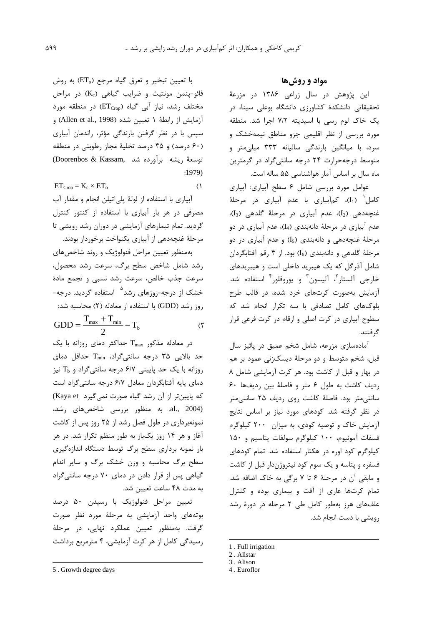با تعیین تبخیر و تعرق گیاه مرجع (ET<sub>o</sub>) به روش فائو-پنمن مونتیث و ضرایب گیاهی (Kc) در مراحل مختلف رشد، نیاز آبی گیاه (ETcrop) در منطقه مورد آزمایش از رابطهٔ ۱ تعیین شده (Allen et al., 1998) و سپس با در نظر گرفتن بارندگی مؤثر، راندمان آبیاری (۶۰ درصد) و ۴۵ درصد تخلیهٔ مجاز رطوبتی در منطقه توسعة ريشه برآورده شد .Doorenbos & Kassam  $:1979$ 

$$
ET_{Crop} = K_c \times ET_o
$$
 (1)

آبیاری با استفاده از لولهٔ پلیاتیلن انجام و مقدار آب مصرفی در هر بار آبیاری با استفاده از کنتور کنترل گردید. تمام تیمارهای آزمایشی در دوران رشد رویشی تا مرحلهٔ غنچهدهی از آبیاری یکنواخت برخوردار بودند. بهمنظور تعيين مراحل فنولوژيک و روند شاخصهاى رشد شامل شاخص سطح برگ، سرعت رشد محصول، سرعت جذب خالص، سرعت رشد نسبی و تجمع مادهٔ خشک از درجه-روزهای رشد<sup>۵</sup> استفاده گردید. درجه-روز رشد (GDD) با استفاده از معادله (۲) محاسبه شد:  $GDD = \frac{T_{\text{max}} + T_{\text{min}}}{2} - T_{b}$  $(5)$ 

 $T_{\text{max}}$  در معادله مذکور  $T_{\text{max}}$  حداکثر دمای روزانه با یک حد بالایی ۳۵ درجه سانتی گراد، T<sub>min</sub> حداقل دمای  $T_b$  روزانه با یک حد پایینی ۶/۷ درجه سانتی گراد و  $T_b$  نیز دمای پایه آفتابگردان معادل ۶/۷ درجه سانتیگراد است كه پايينتر از آن رشد گياه صورت نمي گيرد Kaya et) al., 2004). به منظور بررسی شاخصهای رشد، نمونهبرداری در طول فصل رشد از ۲۵ روز پس از کاشت آغاز و هر ۱۴ روز یکبار به طور منظم تکرار شد. در هر بار نمونه برداری سطح برگ توسط دستگاه اندازهگیری سطح برگ محاسبه و وزن خشک برگ و سایر اندام گیاهی پس از قرار دادن در دمای ۷۰ درجه سانتی گراد به مدت ۴۸ ساعت تعیین شد.

تعیین مراحل فنولوژیک با رسیدن ۵۰ درصد بوتههای واحد آزمایشی به مرحلهٔ مورد نظر صورت گرفت. بەمنظور تعیین عملکرد نهایی، در مرحلهٔ رسیدگی کامل از هر کرت آزمایشی، ۴ مترمربع برداشت

### مواد و روشها

این پژوهش در سال زراعی ۱۳۸۶ در مزرعهٔ تحقیقاتی دانشکدهٔ کشاورزی دانشگاه بوعلی سینا، در یک خاک لوم رسی با اسیدیته ٧/٢ اجرا شد. منطقه مورد بررسی از نظر اقلیمی جزو مناطق نیمهخشک و سرد، با میانگین بارندگی سالیانه ۳۳۳ میلی متر و متوسط درجه حرارت ۲۴ درجه سانتی گراد در گرمترین ماه سال بر اساس آمار هواشناسی ۵۵ ساله است.

عوامل مورد بررسی شامل ۶ سطح آبیاری: آبیاری کامل (I<sub>1</sub>)، کمآبیاری با عدم آبیاری در مرحلهٔ غنچەدهى (I2)، عدم آبيارى در مرحلهٔ گلدهى (I3)، عدم آبياري در مرحلهٔ دانهبندي (I4)، عدم آبياري در دو مرحلهٔ غنجهدهی و دانهبندی (I<sub>5</sub>) و عدم آبیاری در دو مرحلهٔ گلدهی و دانهبندی (I<sub>6</sub>) بود. از ۴ رقم آفتابگردان شامل آذرگل که یک هیبرید داخلی است و هیبریدهای خارجي آلستار<sup>٢</sup>، آليسون<sup>٣</sup> و يوروفلور<sup>۴</sup> استفاده شد. آزمایش بهصورت کرتهای خرد شده، در قالب طرح بلوکهای کامل تصادفی با سه تکرار انجام شد که سطوح آبیاری در کرت اصلی و ارقام در کرت فرعی قرار گر فتند.

آمادهسازی مزرعه، شامل شخم عمیق در یائیز سال قبل، شخم متوسط و دو مرحلهٔ دیسکزنی عمود بر هم در بهار و قبل از كاشت بود. هر كرت آزمايشى شامل ٨ رديف كاشت به طول ۶ متر و فاصلهٔ بين رديفها ۶۰ سانتی متر بود. فاصلهٔ کاشت روی ردیف ۲۵ سانتی متر در نظر گرفته شد. کودهای مورد نیاز بر اساس نتایج آزمایش خاک و توصیه کودی، به میزان ۲۰۰ کیلوگرم فسفات آمونيوم، ١٠٠ كيلوگرم سولفات پتاسيم و ١۵٠ کیلوگرم کود اوره در هکتار استفاده شد. تمام کودهای فسفره و پتاسه و یک سوم کود نیتروژندار قبل از کاشت و مابقی آن در مرحلهٔ ۶ تا ۷ برگی به خاک اضافه شد. تمام کرتها عاری از آفت و بیماری بوده و کنترل علفهای هرز بهطور کامل طی ۲ مرحله در دورهٔ رشد رویشی با دست انجام شد.

<sup>5.</sup> Growth degree days

<sup>1.</sup> Full irrigation

<sup>2.</sup> Allstar

<sup>3.</sup> Alison

<sup>4.</sup> Euroflor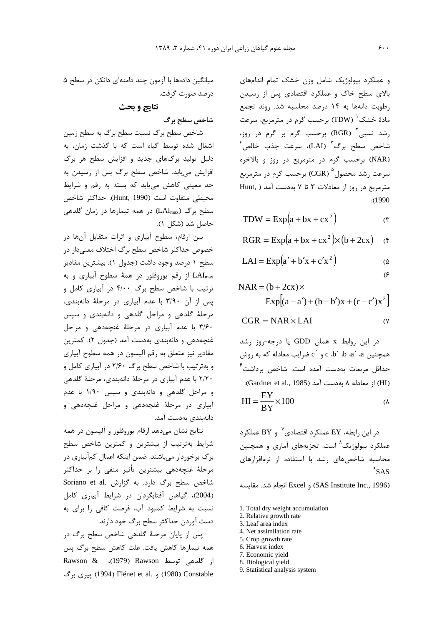و عملک د سولوژیک شامل وزن خشک تمام اندامهای بالای سطح خاک و عملکرد اقتصادی پس از رسیدن . طوبت دانهها به ۱۴ د.صد محاسبه شد. .وند تحمع مادهٔ خشک $^{'}$  (TDW) برحسب گرم در مترمربع، سرعت ، شد نسبی آ ${\rm (RGR)}$  برحسب گرم بر گرم در روز،  $^{\mathsf{f}}$ شاخص سطح برگ $^{\mathsf{T}}$  (LAI)، سرعت جذب خالص (NAR) برحسب گرم در مترمربع در روز و بالاخره سرعت رشد محصول $\rm (CGR) \, {}^{\rm o}$  برحسب گرم در مترمربع Hunt, ) مترمربع در روز از معادلات ٣ تا ٧ به دست آمد :(1990

$$
TDW = Exp(a + bx + cx^{2})
$$
 (7)

$$
RGR = Exp(a + bx + cx^{2}) \times (b + 2cx) \quad (*)
$$

$$
LAI = Exp(a' + b'x + c'x2)
$$

[ ] <sup>2</sup> Exp (a a ) (b b )x (c c )x NAR (b 2cx) − ′ + − ′ + − ′ = + ×

$$
CGR = NAR \times LAI
$$
 (Y)

 $\alpha$ در این روابط x همان GDD یا درجه-روز رشد c  $\int_0^\infty$ همچنین a، ^a، d، ^d، c، و ^c ضرایب معادله که به روش حداقل مربعات بهدست آمده است. شاخص برداشت<sup>۲</sup> (HI) از معادله ٨ به دست آمد (Gardner et al., 1985):

$$
HI = \frac{EY}{BY} \times 100
$$

در این رابطه، EY عملکرد اقتصادی $\rm{BY}$  و BY عملکرد عملک د بیولوژیک<sup>^</sup> است. تحزیههای آماری و همچنین محاسبه شاخص های , شد با استفاده از نرمافزارهای  $\mathsf{SAS}$ 

(SAS Institute Inc., 1996) و Excel انجام شد. مقايسه

- 1. Total dry weight accumulation
- 2. Relative growth rate
- 3. Leaf area index

 $\overline{a}$ 

- 4. Net assimilation rate
- 5. Crop growth rate
- 6. Harvest index
- 7. Economic yield
- 8. Biological yield 9. Statistical analysis system

مبانگین دادهها با آزمون جند دامنهای دانکن در سطح ۵ د, صد صورت گرفت.

# نتايج و بحث

### شاخص سطح برگ

.<br>شاخص سطح برگ نسبت سطح برگ به سطح زمین اشغال شده توسط گیاه است که با گذشت زمان، به .<br>دليل توليد برگهاي حديد و افزايش سطح هر برگ افزایش مییابد. شاخص سطح برگ پس از رسیدن به حد معینی کاهش میبابد که بسته به رقم و شرایط محيطي متفاوت است (Hunt, 1990). حداكثر شاخص سطح برگ (LAI<sub>max</sub>) در همه تیمارها در زمان گلدهی حاصل شد (شکل ۱).

سن أرقام، سطوح أساري و إثرات متقابل أن ها در .<br>خصوص حداکثر شاخص سطح برگ اختلاف معنے دار در سطح ۱ درصد وجود داشت (حدول ۱). بیشترین مقادیر از رقم یوروفلور در همهٔ سطوح آبیاری و به I $\rm{IAI_{max}}$ ترتیب با شاخص سطح برگ ۴/۰۰ در آبیاری کامل و سي از آن ٣/٩٠ با عدم آبياري در مرحلهٔ دانهيندي، مرحلهٔ گلدهی و مراحل گلدهی و دانهبندی و سپس ٣/۶٠ با عدم آبياري در مرحلة غنچهدهي و مراحل .<br>غنجهدهي و دانهيندي بهدست آمد (حدول ٢). كمترين مقادیر نیز متعلق به رقم آلیسون در همه سطوح آبیاری و بهترتیب با شاخص سطح برگ ۲/۶۰ در آبیاری کامل و ۲/۲۰ با عدم آبياري د. مرحلهٔ دانهيند*ي،* مرحلهٔ گلدهي .<br>و مراحل گلدهی و دانهبندی و سپس ۱/۹۰ با عدم آبیاری در مرحلهٔ غنچهدهی و مراحل غنچهدهی و دانەىندى بەدست آمد.

نتايج نشان مے دهد ارقام بوروفلور و آلیسون در همه شرایط بهترتیب از بیشترین و کمترین شاخص سطح د گ دخوردار مے باشند. ضمن اینکه اعمال کمآبیاری در مرحلهٔ غنچهدهی بیشترین تأثیر منفی را بر حداکثر شاخص سطح برگ دارد. به گزارش Soriano et al. (2004)، گیاهان آفتابگردان در شرایط آبیاری کامل .<br>نسبت به شرایط کمبود آب، فرصت کافی را برای به دست آوردن حداکثر سطح برگ خود دارند.

یس از پایان مرحلهٔ گلدهی شاخص سطح برگ در همه تيمارها كاهش يافت. علت كاهش سطح برگ يس از *گ*لدهی توسط Rawson & (1979)، Rawson k1 !L (1994) Flénet et al. " (1980) Constable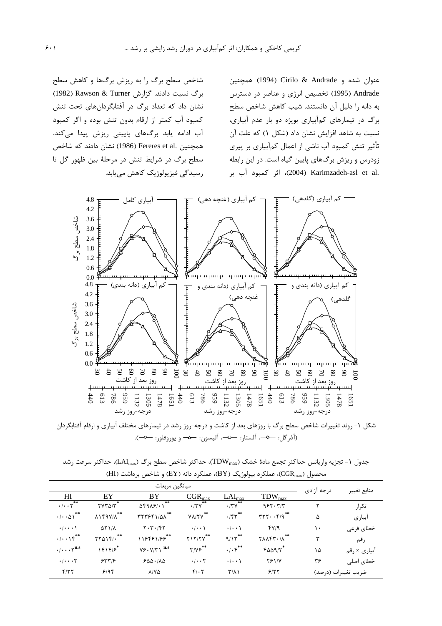عنوان شده و Andrade & Andrade (1994) همچنین Andrade (1995) تخصیص انرژی و عناصر در دسترس به دانه را دلیل آن دانستند. شب کاهش شاخص سطح د گ در تیمارهای کمآبیاری بویژه دو بار عدم آبیاری، .<br>نسبت به شاهد افزایش نشان داد (شکل ۱) که علت آن .<br>تأثیر تنش کمبود آب ناشے از اعمال کمآبیاری پر بیری زودرس و ریزش برگ@ای پایین گیاه است. در این رابطه .<br>2004) Karimzadeh-asl et al. اثر كمبود آب بر

شاخص سطح برگ را به ریزش برگها و کاهش سطح برگ نسبت دادند. گزارش Rawson & Turner (1982) .<br>نشان داد که تعداد برگ د<sub>ر</sub> آفتابگردانهای تحت تنش کمبود آب کمتر از ارقام بدون تنش بوده و اگر کمبود آب ادامه یابد برگهای پایینی ریزش پیدا میکند. همچنین .Fereres et al (1986) نشان دادند که شاخص سطح برگ در شرایط تنش در مرحلهٔ بین ظهور گل تا . سیدگی فت بولوژیک کاهش می باید.



شکل ۱- روند تعییرات شاخص سطح بر ک با روزهای بعد از کاشت و درجه-روز رشد در تیمارهای مختلف آبیاری و ارقام اقتابگردان (آدر کل: صحب الستار: صلص، الیسون: صفص و یوروفلور: صلص).

جدول ١- تجزيه واريانس حداكثر تجمع مادهٔ خشک (TDW<sub>max</sub>)، حداكثر شاخص سطح برگ (LAI<sub>max</sub>)، حداكثر سرعت رشد محصول (CGR<sub>max)</sub>، عملکرد بیولوژیک (BY)، عملکرد دانه (EY) و شاخص برداشت (HI)

|                                              |                                 | ميانگين مربعات                                                 |                                   |                                                 |                                                                  | درجه آزادى | منابع تغيير         |
|----------------------------------------------|---------------------------------|----------------------------------------------------------------|-----------------------------------|-------------------------------------------------|------------------------------------------------------------------|------------|---------------------|
| HI                                           | EY                              | BY                                                             | $CGR_{max}$                       | $LAI_{max}$                                     | $TDW_{max}$                                                      |            |                     |
| $\cdot/\cdot\cdot\tau^{**}$                  | $\gamma \gamma \gamma \gamma^*$ | $\Delta$ F9 $\Delta$ F/ $\cdot$ )                              | $\cdot$ /۲۷ <sup>**</sup>         | $\overline{\cdot}$ /۳ $\overline{Y}^{\ast\ast}$ | 955.77                                                           |            | تكرار               |
| $\cdot/\cdot\cdot\Delta1$ <sup>**</sup>      | $\lambda$ 149 $V/\lambda$ **    | $\mathsf{r}\mathsf{r}\mathsf{r}\mathsf{s}\mathsf{r}\mathsf{r}$ | $Y\Lambda/Y^{\ast\ast}$           | $\cdot$ /۴۳ $*$                                 | $\mathbf{r}\mathbf{r}\mathbf{r}\cdots\mathbf{r}/\mathbf{q}^{**}$ | ۵          | آبياري              |
| $\cdot$ / $\cdot$ $\cdot$ \                  | $\Delta Y$ $1/\Lambda$          | $Y \cdot Y \cdot / YY$                                         | $\cdot$ / $\cdot$ \               | $\cdot$   $\cdot$ \                             | fV/9                                                             | ١.         | خطاي فرعى           |
| $\cdot/\cdot\cdot$ \r <sup>**</sup>          | $YY\Delta Yf/\cdot$             | 118481/88**                                                    | $Y1Y/Y$ **                        | 9/15                                            | $Y\Lambda\Lambda$ ۴۳ $\cdot$ / $\Lambda$ **                      | ٣          | رقم                 |
| $\cdot/\cdots\gamma^{\mathbf{n}.\mathbf{s}}$ | 1515                            | $Y \rightarrow Y / \Upsilon \setminus$ <sup>n.s</sup>          | $\mathbf{y}/\mathbf{y}$           | $\cdot/\cdot$ $\zeta^{**}$                      | $F\Delta\Delta\mathcal{H}/\gamma^*$                              | ۱۵         | آبیاری × رقم        |
| $\cdot/\cdots$ ۳                             | 5577                            | 500.100                                                        | $\cdot$ / $\cdot$ $\cdot$ $\cdot$ | $\cdot$   $\cdot$ \                             | $Y \rightarrow Y$                                                | ۳۶         | خطای اصلی           |
| Y/YY                                         | 9/9                             | $\lambda$ / $\lambda$                                          | $f(\cdot)$                        | $\Upsilon/\Lambda$                              | 5/77                                                             |            | ضريب تغييرات (درصد) |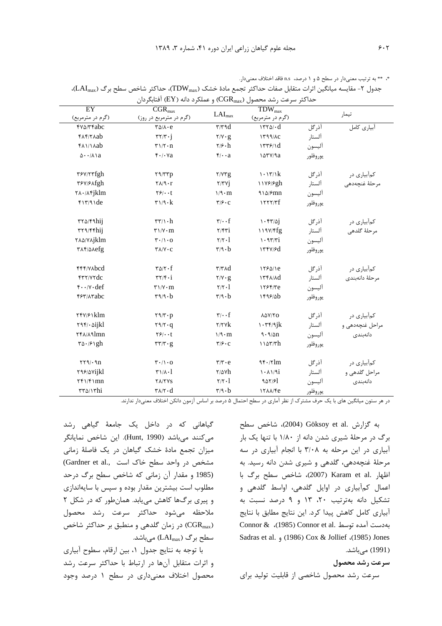\*، \*\* به ترتيب معنىدار در سطح ۵ و ۱ درصد، n.s فاقد اختلاف معنىدار.

| EY<br>(گرم در مترمربع)                               | $\overline{CGR}_{max}$<br>(گرم در مترمربع در روز)          | $LAI_{max}$                              | $TDW_{max}$<br>(گرم در مترمربع)             |          | تيمار           |  |
|------------------------------------------------------|------------------------------------------------------------|------------------------------------------|---------------------------------------------|----------|-----------------|--|
| <b>FVA/TFabc</b>                                     | $\mathbf{r}\Delta/\mathbf{\Lambda}\cdot\mathbf{e}$         | $\tau/\tau$ 9d                           | $1570 \cdot d$                              | آذرگل    | آبیاری کامل     |  |
| FAF/TAab                                             | $\mathbf{r}\mathbf{r}/\mathbf{r}\cdot\mathbf{j}$           | $Y/Y \cdot g$                            | 1799/AC                                     | آلستار   |                 |  |
| <b>FAMAab</b>                                        | $\mathbf{r} \setminus \mathbf{r} \cdot \mathbf{n}$         | $\mathbf{Y}/\mathbf{S}\cdot\mathbf{h}$   | 1779/1d                                     | آليسون   |                 |  |
| $\Delta \cdot \cdot / \Lambda$ la                    | $f \cdot / \cdot \forall a$                                | $f/\cdot a$                              | Isrv/9a                                     | يوروفلور |                 |  |
| ٣۶٧/٢٣fgh                                            | $\mathbf{Y} \mathbf{A} / \mathbf{Y} \mathbf{Y} \mathbf{p}$ | Y/YYg                                    | $\cdot \frac{\gamma}{k}$                    | آذرگل    | کمآبیاری در     |  |
| ٣۶٧/۶ Afgh                                           | $\mathsf{Y}\wedge\mathsf{Y}\cdot\mathsf{r}$                | $Y/YY$ j                                 | 11 <i>Y</i> <sup>/9</sup> gh                | آلستار   | مرحلهٔ غنچەدھى  |  |
| $\mathsf{Y}\lambda\cdot\mathsf{X}\mathsf{Y}jklm$     | $Y$ ۶/ $\cdot$ t                                           | $1/9 \cdot m$                            | $910/5$ mn                                  | آليسون   |                 |  |
| $f\$ 7/9\de                                          | $\mathbf{r} \mathbf{1}/\mathbf{9} \cdot \mathbf{k}$        | $\mathbf{y}$                             | 1777/Tf                                     | يوروفلور |                 |  |
| $rr\Delta/F9$ hij                                    | $\tau\tau/\gamma\cdot h$                                   | $\mathbf{y}/\cdot\mathbf{f}$             | $1 - \frac{5}{2}$                           | آذرگل    | کمآبیاری در     |  |
| $rrq/r$ fhij                                         | $\Upsilon \setminus V \cdot m$                             | Y/FY1                                    | 119V/Ffg                                    | ألستار   | مرحلة گلدهي     |  |
| <b>TAQ/YAjklm</b>                                    | $\mathbf{r} \cdot / \mathbf{1} \cdot \mathbf{0}$           | $\mathbf{Y}/\mathbf{Y}\cdot\mathbf{1}$   | $\mathcal{N} \cdot \mathcal{N} \mathcal{N}$ | أليسون   |                 |  |
| TAF/AAefg                                            | $\Upsilon \Lambda / \Upsilon \cdot C$                      | $\mathbf{r}/\mathbf{q} \cdot \mathbf{b}$ | $\Upsilon^{\gamma}$                         | يوروفلور |                 |  |
| FFF/VAbcd                                            | $\mathbf{r} \Delta / \mathbf{r} \cdot \mathbf{f}$          | $\tau/\tau \wedge d$                     | 1750/1e                                     | آذرگل    | کمآبیاری در     |  |
| FTY/VYdc                                             | $\mathbf{r}\mathbf{y}/\mathbf{r}\cdot\mathbf{i}$           | $Y/Y \cdot g$                            | $17f\lambda/\lambda d$                      | آلستار   | مرحلهٔ دانهبندی |  |
| $f \cdot \cdot / v \cdot def$                        | $\Upsilon \setminus V \cdot m$                             | $\mathbf{Y}/\mathbf{Y}\cdot\mathbf{I}$   | 1755/Te                                     | أليسون   |                 |  |
| <b>FST/ATabc</b>                                     | $r_9/9 \cdot b$                                            | $\mathbf{r}/\mathbf{q} \cdot \mathbf{b}$ | 1599/8b                                     | يوروفلور |                 |  |
| ۲۴۷/۶۱klm                                            | $\mathbf{Y} \mathbf{9} / \mathbf{Y} \cdot \mathbf{p}$      | $\mathbf{y}_i \cdot \mathbf{f}$          | λΔΥ/ΥΟ                                      | آذرگل    | کمآبیاری در     |  |
| $\mathbf{Y} \mathbf{Y} / \cdot \mathbf{\hat{o}ijkl}$ | $\mathbf{Y} \mathbf{9} / \mathbf{Y} \cdot \mathbf{q}$      | $\mathbf{Y}/\mathbf{Y}$                  | $1 - \tau f / 9jk$                          | آلستار   | مراحل غنچەدھى و |  |
| ٢۴٨/٨٩lmn                                            | $Y$ ۶/ $\cdot$ t                                           | $1/9 \cdot m$                            | 9.9/2n                                      | آليسون   | دانەبندى        |  |
| $\forall \Delta \cdot \beta \$                       | $\mathbf{r}\mathbf{r}/\mathbf{r}\cdot\mathbf{g}$           | $\mathbf{y}/\mathbf{y} \cdot \mathbf{C}$ | 1107/Th                                     | يوروفلور |                 |  |
| $\tau\tau\gamma\cdot\gamma n$                        | $\mathbf{r} \cdot / \mathbf{1} \cdot \mathbf{0}$           | $\mathbf{r}/\mathbf{r} \cdot \mathbf{e}$ | 95.7m                                       | آذرگل    | کمآبیاری در     |  |
| <b>TAS/AVijkl</b>                                    | $\Gamma/\Lambda$ .]                                        | $\frac{1}{2}$                            | 1.119i                                      | آلستار   | مراحل گلدهی و   |  |
| $\Upsilon f \Upsilon$                                | <b>TA/TYS</b>                                              | $\mathbf{Y}/\mathbf{Y}\cdot\mathbf{I}$   | 901/51                                      | أليسون   | دانەبندى        |  |
| $\tau\tau\omega/\nu$ hi                              | $\mathbf{r}$ $\wedge$ $\mathbf{r} \cdot \mathbf{d}$        | $\mathbf{r}/\mathbf{q} \cdot \mathbf{b}$ | ITAA/Fe                                     | يوروفلور |                 |  |

جدول ۲- مقایسه میانگین اثرات متقابل صفات حداکثر تجمع مادهٔ خشک (TDW<sub>max</sub>)، حداکثر شاخص سطح برگ (LAI<sub>max</sub>)،

در هر ستون میانگین های با یک حرف مشترک از نظر آماری در سطح احتمال ۵ درصد بر اساس آزمون دانکن اختلاف معنیدار ندارند.

گیاهانی که در داخل یک جامعهٔ گیاهی رشد می کنند میباشد (Hunt, 1990). این شاخص نمایانگر میزان تجمع مادهٔ خشک گیاهان در یک فاصلهٔ زمانی (Gardner et al., مشخص در واحد سطح خاک است) (1985 و مقدار آن زمانی که شاخص سطح برگ درحد مطلوب است بیشترین مقدار بوده و سپس با سایهاندازی و پیری برگها کاهش می یابد. همان طور که در شکل ۲ ملاحظه مىشود حداكثر سرعت رشد محصول (CGR<sub>max</sub>) در زمان گلدهی و منطبق بر حداکثر شاخص سطح برگ (LAImax) میباشد.

با توجه به نتايج جدول ١، بين ارقام، سطوح آبياري و اثرات متقابل آنها در ارتباط با حداكثر سرعت رشد محصول اختلاف معنى دارى در سطح ١ درصد وجود

به گزارش .Göksoy et al (2004)، شاخص سطح برگ در مرحلهٔ شیری شدن دانه از ۱/۸۰ با تنها یک بار آبیاری در این مرحله به ۳/۰۸ با انجام آبیاری در سه مرحلهٔ غنچهدهی، گلدهی و شیری شدن دانه رسید. به اظهار .Karam et al (2007)، شاخص سطح برگ با اعمال کمآبیاری در اوایل گلدهی، اواسط گلدهی و تشكيل دانه بهترتيب ٢٠، ١٣ و ٩ درصد نسبت به آبیاری کامل کاهش پیدا کرد. این نتایج مطابق با نتایج Connor & (1985) Connor et al. بهدست آمده توسط Sadras et al. (1986) Cox & Jollief (1985) Jones (1991) مے باشد.

#### سرعت رشد محصول

سرعت رشد محصول شاخصی از قابلیت تولید برای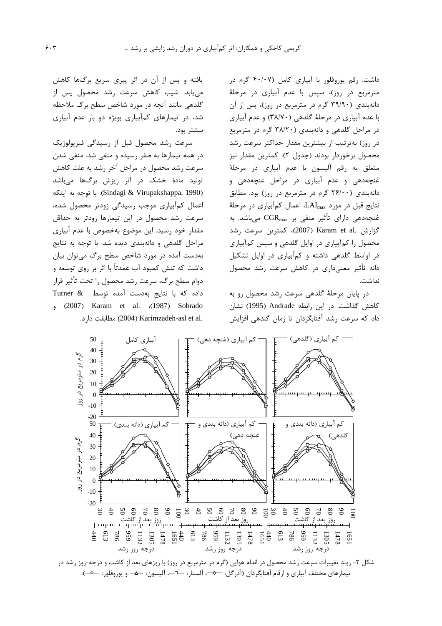داشت. .قم بوروفلور با آبیاری کامل (۴۰/۰۷ گرم در مترمربع در روز)، سپس با عدم آبیاری در مرحلهٔ دانهبندی (۳۹/۹۰ گرم در مترمربع در روز)، بس از آن با عدم آبیاری در مرحلهٔ گلدهی (۳۸/۷۰) و عدم آبیاری د. مراجل گلدهي و دانهيندي (٣٨/٢٠ گرم د. مترمريع در روز) بهترتیب از بیشترین مقدار حداکثر سرعت رشد محصول برخوردار بودند (حدول ۲). کمترین مقدار نیز متعلق به رقم آليسون با عدم آبيار*ي* در مرحلهٔ غنچهدهی و عدم آبیاری در مراحل غنچهدهی و دانەيندى (٢۶/٠٠ گرم د. مترمرېع د. .وز) بود. مطابق  $\lambda$ نتايج قبل در مورد  $L\text{AI}_{\text{max}}$ ، اعمال كمآبياري در مرحلهٔ غنچەدھى داراي تأثير منفى بر  $\mathrm{CGR}_\mathrm{max}$  مى باشد. بە  $\epsilon$ زارش .Karam et al (2007)، كمترين سرعت رشد محصول را کمآبیاری در اوایل گلدهی و سپس کمآبیاری در اواسط گلدهی داشته و کمآبیاری در اوایل تشکیل دانه تأثیر معنی داری در کاهش سرعت رشد محصول نداشت.

در بابان مرحلهٔ گلدهی سرعت رشد محصول رو به كاهش گذاشت. در اين رابطه Andrade (1995) نشان داد که سرعت رشد آفتابگردان تا زمان گلدهی افزایش

یافته و پس از آن در اثر پیری سریع برگها کاهش مے باید. شبب کاهش سرعت رشد محصول پس از گلدهي مانند آنحه در مورد شاخص سطح برگ ملاحظه شد، در تیمارهای کمآبیاری بویژه دو بار عدم آبیاری ىشت يەد.<br>بىشتا يەد.

ساعت رشد محصول قبل إن سيدگي فيزيولوژيک در همه تیمارها به صفر رسیده و منفی شد. منفی شدن سرعت رشد محصول در مراحل آخر رشد به علت کاهش .<br>تولید مادهٔ خشک د. اثر رنش برگیها میباشد ^ , 1 8- (1 .(Sindagi & Virupakshappa, 1990) .<br>اعمال کہآبیاری موجب رسیدگی زودتر محصول شدہ، سرعت رشد محصول در این تیمارها زودتر به حداقل .<br>مقدار خود رسيد. اين موضوع بهخصوص با عدم آبياري مراحل گلدهي و دانهيندي ديده شد. با توجه به نتايج بهدست آمده د. مورد شاخص سطح برگ می توان بیان داشت که تنش کمیود آب عمدتاً با اثر بر روی توسعه و دوام سطح برگ، سرعت رشد محصول را تحت تأثیر قرار .<br>داده که با نتایج بهدست آمده توسط  $x$  Turner et al. (1987) Sobrado .c) مطابقت دارد. (2004) Karimzadeh-asl et al.



تيمارهاى مختلف أبيارى و ارقام أفتابگردان (أذرگل: ㅡာ-، ألستار: ㅡ¬-، أليسون: ㅡa- و يوروفلور: ㅡo-).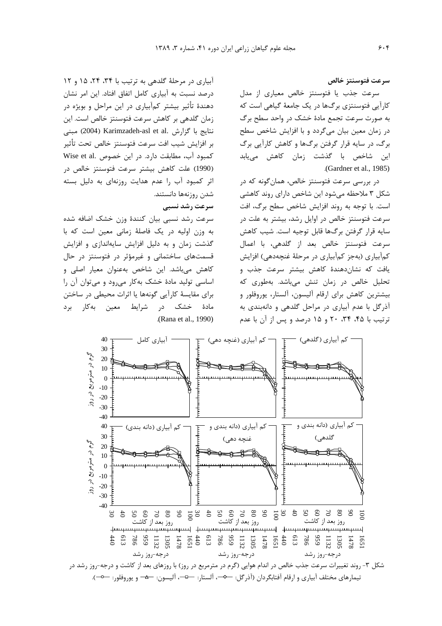سرعت فتوسنتز خالص

سرعت حذب با فتوسنتز خالص معباري از مدل کا, آپی فتوسنتزی برگھا در یک جامعهٔ گیاهی است که به صورت سرعت تحمع مادهٔ خشک در واحد سطح برگ در زمان معین بیان میگردد و با افزایش شاخص سطح برگ، در سایه قرار گرفتن برگها و کاهش کارآیی برگ این شاخص با گذشت زمان کاهش می<u>ب</u>ابد .(Gardner et al., 1985)

د. پررس سرعت فتوسنتز خالص، همان گونه که د. .<br>شکل ۳ ملاحظه می شود این شاخص دارای روند کاهش*ی* است. با توجه به روند افزایش شاخص سطح برگ، افت سرعت فتوسنتز خالص در اوایل رشد، بیشتر به علت در سابه قرار گرفتن برگها قابل توجیه است. شبب کاهش سرعت فتوسنتز خالص بعد إز گلدهي، با إعمال کمآبیاری (بهجز کمآبیاری در مرحلهٔ غنچهدهی) افزایش .<br>بافت که نشان(دهندهٔ کاهش پیشتر سرعت حذب و .<br>تحلیل خالص در زمان تنش مرباشد. بهطوری که سشترین کاهش برای ارقام آلیسون، آلستان بوروفلور و .<br>آذرگل با عدم آبیاری در مراحل گلدهی و دانهبندی به ترتیب با ۴۵، ۳۴، ۲۰ و ۱۵ درصد و پس از آن با عدم

آبیاری در مرحلهٔ گلدهی به ترتیب با ۳۴، ۲۴، ۱۵ و ۱۲ د,صد نسبت به آبیاری کامل اتفاق افتاد. این امر نشان دهندهٔ تأثیر بیشتر کمآبیاری در این مراحل و بویژه در .<br>زمان گلده*ی د*ر کاهش سرعت فتوسنتز خالص است. این .<br>نتايج با گزارش .Karimzadeh-asl et al (2004) مبنى ر افزایش شیب افت سرعت فتوسنت خالص تحت تأثیر کمبود آب، مطابقت دارد. در این خصوص .Wise et al .<br>(1990) علت كاهش بيشتر سرعت فتوسنتز خالص در اثی کمیود آب ,ا عدم هدایت ,وزنهای به دلیا ِ بسته شدن روزنهها دانستند. سرعت رشد نسبی

سرعت رشد نسبی بیان کنندهٔ وزن خشک اضافه شده به وزن اوليه در يک فاصلهٔ زمان*ي معين* است که با گذشت زمان و به دلیل افزایش سایهاندازی و افزایش قسمتهای ساختمانی و غیرمؤثر در فتوسنتز در حال ۔<br>کاهش مے باشد. این شاخص بهعنوان معیار اصلے و اساسی تولید مادهٔ خشک بهکار میرود و می<sup>توان</sup> آن را .<br>دای مقایسهٔ کارآبی گونهها با اثرات محیطی در ساختن مادهٔ خشک در شرایط معین بهکار برد .(Rana et al., 1990)



تيمارهاى مختلف آبيارى و ارقام آفتابگردان (آذرگل: ㅡာ-، اَلستار: ㅡេ¬، اَليسون: ㅡڡ- و يوروفلور: ㅡㅇ-).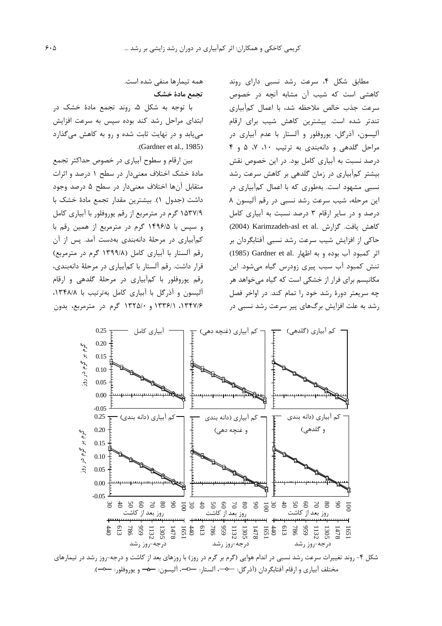مطابق شکل ۴، سرعت رشد نسبی دارای روند کاهشی است که شیب آن مشابه آنچه در خصوص سرعت جذب خالص ملاحظه شد، با اعمال كمآبياري تندتر شده است. بیشترین کاهش شیب برای ارقام آليسون، آذرگل، يوروفلور و آلستار با عدم آبياري در مراحل گلدهی و دانهبندی به ترتیب ١٠، ٧، ۵ و ۴ درصد نسبت به آبیاری کامل بود. در این خصوص نقش بیشتر کمآبیاری در زمان گلدهی بر کاهش سرعت رشد نسبی مشهود است. بهطوری که با اعمال کمآبیاری در این مرحله، شیب سرعت رشد نسبی در رقم آلیسون ۸ درصد و در سایر ارقام ۳ درصد نسبت به آبیاری کامل (2004) Karimzadeh-asl et al. كاهش يافت. گزارش حاکی از افزایش شیب سرعت رشد نسبی آفتابگردان بر اثر كمبود آب بوده و به اظهار .Gardner et al (1985) تنش کمبود آب سبب پیری زودرس گیاه میشود. این مکانیسم برای فرار از خشکی است که گیاه میخواهد هر چه سریعتر دورهٔ رشد خود را تمام کند. در اواخر فصل رشد به علت افزایش برگ@ای پیر سرعت رشد نسبی در

همه تیمارها منفی شده است. تحمع مادة خشك

با توجه به شکل ۵، روند تجمع مادهٔ خشک در ابتدای مراحل رشد کند بوده سپس به سرعت افزایش می یابد و در نهایت ثابت شده و رو به کاهش می گذارد .(Gardner et al., 1985).

بین ارقام و سطوح آبیاری در خصوص حداکثر تجمع مادهٔ خشک اختلاف معنیدار در سطح ۱ درصد و اثرات متقابل آنها اختلاف معنى دار در سطح ۵ درصد وجود داشت (جدول ۱). بیشترین مقدار تجمع مادهٔ خشک با ۱۵۳۷/۹ گرم در مترمربع از رقم پوروفلور با آبیاری کامل و سیس با ۱۴۹۶/۵ گرم در مترمربع از همین رقم با کمآبیاری در مرحلهٔ دانهبندی بهدست آمد. پس از آن رقم آلستار با آبیاری کامل (۱۳۹۹/۸ گرم در مترمربع) قرار داشت. رقم آلستار با کمآبیاری در مرحلهٔ دانهبندی، رقم پوروفلور با كم آبياري در مرحلهٔ گلدهي و ارقام آلیسون و آذرگل با آبیاری کامل بهترتیب با ۱۳۴۸/۸. ۱۳۴۷/۶، ۱۳۳۶/۱ و ۱۳۲۵/۰ گرم در مترمربع، بدون



شکل ۴- روند تغییرات سرعت رشد نسبی در اندام هوایی (گرم بر گرم در روز) با روزهای بعد از کاشت و درجه-روز رشد در تیمارهای مختلف آبياري و ارقام آفتابگردان (آذرگل: ܐܐ، آلستار: ܒܒܐ، آليسون: ܒܬܐ و يوروفلور: ܒܘܐ).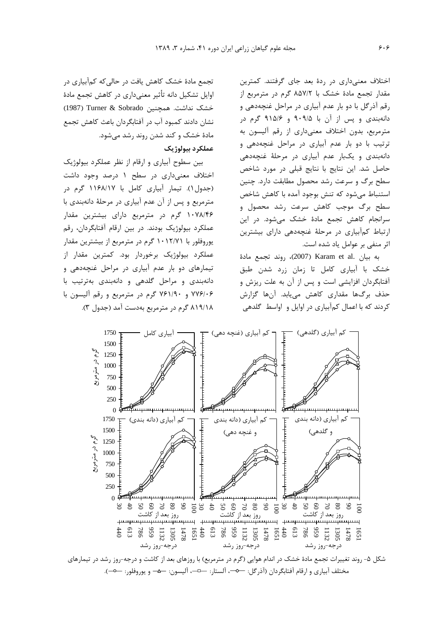.<br>اختلاف معنے داری در ردۂ بعد جای گرفتند. کمترین مقدار تحمع مادهٔ خشک با ۸۵۷/۲ گرم در مترمربع از . قم آذر گل با دو بار عدم آبیاری در مراحل غنجهدهی و دانهبندی و پس از آن با ۹۰۹/۵ و ۹۱۵/۶ گرم در مترمريع، بدون اختلاف معنے دارى از رقم آليسون به .<br>ترتیب با دو بار عدم آبیاری در مراحل غنجهدهی و دانهيندي و يکيار عدم آبياري در مرحلهٔ غنجهدهي حاصل شد. این نتایج با نتایج قبلی در مورد شاخص سطح برگ و سرعت رشد محصول مطابقت دارد. حنین استنباط مے شود که تنش بوجود آمده با کاهش شاخص سطح برگ موجب کاهش سرعت رشد محصول و سرانجام كاهش تجمع مادة خشك مى شود. در اين ارتباط کمآبیاری در مرحلهٔ غنجهدهی دارای پیشترین اثر منف*ي* بر عوامل باد شده است.

به بيان .Karam et al (2007)، روند تجمع مادهٔ .<br>خشک با آبیا<sub>د</sub>ی کامل تا زمان زرد شدن طبق آفتابگردان افزایشی است و پس از آن به علت ریزش و حذف برگھا مقداری کاهش مےبابد. آنها گزارش کردند که با اعمال کمآبیاری در اوایل و اواسط گلدهی

تجمع مادهٔ خشک کاهش یافت در حالی که کمآبیاری در اوایل تشکیل دانه تأثیر معنی داری در کاهش تحمع مادهٔ خشک نداشت. همچنین Turner & Sobrado (1987) نشان دادند کمبود آب د<sub>ر</sub> آفتابگردان باعث کاهش تحمع .<br>مادهٔ خشک و کند شدن روند رشد مرشود.

### عملكرد بيولوژيك

بین سطوح آبیاری و ارقام از نظر عملکرد بیولوژیک اختلاف معنه داری در سطح ۱ درصد وجود داشت (حدول ۱). تيمار آبياري كامل با ۱۱۶۸/۱۷ گرم در مترمريع و بس از آن عدم آبياري در مرحلهٔ دانەبندي با ۱۰۷۸/۴۶ گرم در مترمربع دارای پیشترین مقدار عملکرد بیولوژیک بودند. د<sub>ر</sub> بین ارقام آفتایگردان، رق<u>م</u> بوروفلور با ۱۰۱۲/۷۱ گرم در مترمربع از پیشترین مقدار عملکرد پیولوژیک برخوردار بود. کمترین مقدار از .<br>تیمارهای دو بار عدم آبیاری در مراحل غنجهدهی و دانهبندی و مراحل گلدهی و دانهبندی بهترتیب با ۷۶۱/۹۰ و ۷۶۱/۹۰ گرم در مترمربع و رقم آلیسون با ۸۱۹/۱۸ گرم در مترمربع بهدست آمد (حدول ۳).



 $\sim$ مختلف آبياري و ارقام آفتابگردان (آذرگل:  $\rightarrow$ -، آلستار:  $\rightarrow$ -، آليسون:  $\rightarrow$ - و يوروفلور:  $\rightarrow$ -).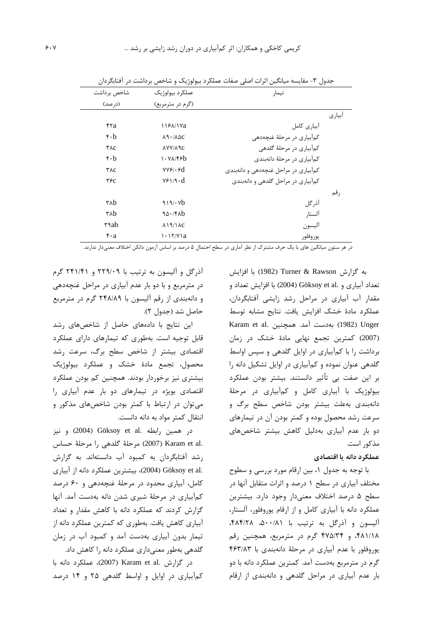|        | تيمار                                | عملكرد بيولوژيک                      | شاخص برداشت                   |
|--------|--------------------------------------|--------------------------------------|-------------------------------|
|        |                                      | (گرم در مترمربع)                     | (در صد)                       |
| أبياري |                                      |                                      |                               |
|        | آبياري كامل                          | 1188/17a                             | ۴۲a                           |
|        | کمآبیاری در مرحلهٔ غنچهدهی           | $\lambda$ 9 · / $\lambda$ $\Delta$ C | $\mathbf{r} \cdot \mathbf{b}$ |
|        | كمآبياري در مرحلهٔ گلدهي             | <b>AYY/A 9C</b>                      | YAC                           |
|        | كمآبياري در مرحلهٔ دانهبندي          | 1.94/5                               | $\mathbf{r} \cdot \mathbf{b}$ |
|        | کمآبیاری در مراحل غنچهدهی و دانهبندی | $VVf \cdot f d$                      | YAC                           |
|        | کمآبیاری در مراحل گلدهی و دانهبندی   | $V \div V \cdot d$                   | $\tau$ ۶ $c$                  |
| رقم    |                                      |                                      |                               |
|        | آذرگل                                | 919/6                                | $\tau$ <sub>A</sub> $b$       |
|        | آلستار                               | 90.760                               | ۳۸b                           |
|        | آليسون                               | $\lambda$ $9/$ $\lambda$ $c$         | ۳۹ab                          |
|        | يوروفلور                             | $\cdot$ $\frac{17}{12}$ a            | $\mathbf{r} \cdot \mathbf{a}$ |

جدول ۳- مقایسه میانگین اثرات اصلی صفات عملکرد بیولوژیک و شاخص برداشت در آفتابگردان

.<br>در هر ستون میانگین های با یک حرف مشترک از نظر آماری در سطح احتمال ۵ درصد بر اساس آزمون دانکن اختلاف معنیدار ندارند.

به گزارش Turner & Rawson (1982) با افزایش تعداد آبیاری و .Göksoy et al (2004) با افزایش تعداد و مقدار آب آبیاری در مراحل رشد زایشی آفتابگردان، عملكرد مادة خشك افزايش يافت. نتايج مشابه توسط Karam et al. مدال (1982) به دست آمد. همچنین (2007) كمترين تجمع نهايي مادهٔ خشک در زمان برداشت را با کمآبیاری در اوایل گلدهی و سپس اواسط گلدهی عنوان نموده و کمآبیاری در اوایل تشکیل دانه را بر این صفت بی تأثیر دانستند. بیشتر بودن عملکرد بیولوژیک با آبیاری کامل و کمآبیاری در مرحلهٔ دانهبندی بهعلت بیشتر بودن شاخص سطح برگ و سرعت رشد محصول بوده و کمتر بودن آن در تیمارهای دو بار عدم آبیاری بهدلیل کاهش بیشتر شاخصهای مذکور است.

# عملكرد دانه يا اقتصادي

با توجه به جدول ١، بين ارقام مورد بررسي و سطوح مختلف آبیاری در سطح ۱ درصد و اثرات متقابل آنها در سطح ۵ درصد اختلاف معنیدار وجود دارد. بیشترین عملکرد دانه با آبیاری کامل و از ارقام پوروفلور، آلستار، آلیسون و آذرگل به ترتیب با ۵۰۰/۸۱، ۴۸۴/۲۸، ۴۸۱/۱۸، و ۴۷۵/۳۴ گرم در مترمربع، همچنین رقم یوروفلور با عدم آبیاری در مرحلهٔ دانهبندی با ۴۶۳/۸۳ گرم در مترمربع بهدست آمد. کمترین عملکرد دانه با دو بار عدم آبیاری در مراحل گلدهی و دانهبندی از ارقام

آذرگل و آلیسون به ترتیب با ۲۲۹/۰۹ و ۲۴۱/۴۱ گرم در مترمربع و با دو بار عدم آبیاری در مراحل غنچهدهی و دانهبندی از رقم آلیسون با ۲۴۸/۸۹ گرم در مترمربع حاصل شد (جدول ٢).

این نتایج با دادههای حاصل از شاخصهای رشد قابل توجیه است. بهطوری که تیمارهای دارای عملکرد اقتصادی بیشتر از شاخص سطح برگ، سرعت رشد محصول، تجمع مادهٔ خشک و عملکرد بیولوژیک بیشتری نیز برخوردار بودند. همچنین کم بودن عملکرد اقتصادی بویژه در تیمارهای دو بار عدم آبیاری را می توان در ارتباط با کمتر بودن شاخصهای مذکور و انتقال کمتر مواد به دانه دانست.

در همين رابطه .Göksoy et al و نيز .Karam et al (2007) مرحلة كلدهي را مرحلة حساس رشد آفتابگردان به کمبود آب دانستهاند. به گزارش .Göksoy et al (2004)، بيشترين عملكرد دانه از آبياري کامل، آبیاری محدود در مرحلهٔ غنچهدهی و ۶۰ درصد کمآبیاری در مرحلهٔ شیری شدن دانه بهدست آمد. آنها گزارش کردند که عملکرد دانه با کاهش مقدار و تعداد آبیاری کاهش یافت. بهطوری که کمترین عملکرد دانه از تیمار بدون آبیاری بهدست آمد و کمبود آب در زمان گلدهی بهطور معنیداری عملکرد دانه را کاهش داد.

در گزارش .Karam et al (2007)، عملكرد دانه با کمآبیاری در اوایل و اواسط گلدهی ۲۵ و ۱۴ درصد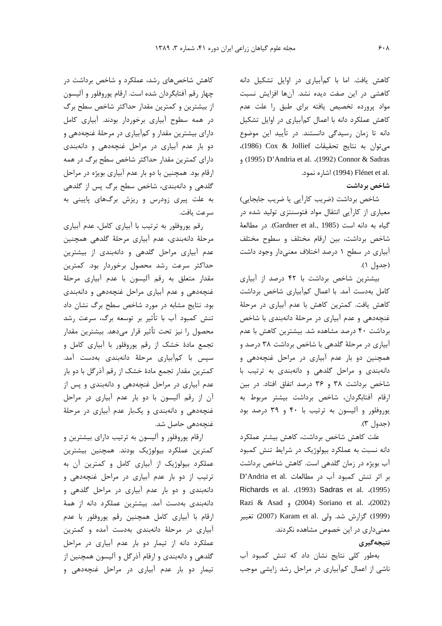کاهش یافت. اما با کمآبیاری در اوایل تشکیل دانه كاهشى در اين صفت ديده نشد. آنها افزايش نسبت مواد پرورده تخصیص یافته برای طبق را علت عدم کاهش عملکرد دانه با اعمال کمآبیاری در اوایل تشکیل دانه تا زمان رسیدگی دانستند. در تأیید این موضوع مي توان به نتايج تحقيقات Cox & Jollief)، et al. (1992) Connor & Sadras (1995) D'Andria et al. (1992) Connor & Sadras .Flénet et al (1994) Flénet et al

### شاخص برداشت

شاخص برداشت (ضريب كاراًيي يا ضريب جابجايي) معیاری از کارآیی انتقال مواد فتوسنتزی تولید شده در گياه به دانه است (Gardner et al., 1985). در مطالعة شاخص برداشت، بین ارقام مختلف و سطوح مختلف آبیاری در سطح ۱ درصد اختلاف معنی دار وجود داشت (جدول ١).

بیشترین شاخص برداشت با ۴۲ درصد از آبیاری كامل بهدست آمد. با اعمال كمآبياري شاخص برداشت كاهش يافت. كمترين كاهش با عدم آبياري در مرحلة غنچهدهی و عدم آبیاری در مرحلهٔ دانهبندی با شاخص برداشت ۴۰ درصد مشاهده شد. بیشترین کاهش با عدم آبیاری در مرحلهٔ گلدهی با شاخص برداشت ۳۸ درصد و همچنین دو بار عدم آبیاری در مراحل غنچهدهی و دانهبندی و مراحل گلدهی و دانهبندی به ترتیب با شاخص برداشت ٣٨ و ٣۶ درصد اتفاق افتاد. در بين ارقام آفتابگردان، شاخص برداشت بیشتر مربوط به یوروفلور و آلیسون به ترتیب با ۴۰ و ۳۹ درصد بود (جدول ٣).

علت كاهش شاخص برداشت، كاهش بيشتر عملكرد دانه نسبت به عملکرد بیولوژیک در شرایط تنش کمبود آب بویژه در زمان گلدهی است. کاهش شاخص برداشت P'Andria et al. بر اثر تنش كمبود آب در مطالعات Richards et al. .(1993) Sadras et al. .(1995) Razi & Asad, (2004) Soriano et al. (2002) (1999) گزارش شد. ولی .Karam et al (2007) تغییر معنیداری در این خصوص مشاهده نکردند. نتيجەگېرى

بهطور کلی نتایج نشان داد که تنش کمبود آب ناشی از اعمال کمآبیاری در مراحل رشد زایشی موجب

کاهش شاخصهای رشد، عملکرد و شاخص برداشت در چهار رقم آفتابگردان شده است. ارقام پوروفلور و آلیسون از بیشترین و کمترین مقدار حداکثر شاخص سطح برگ در همه سطوح آبیاری برخوردار بودند. آبیاری کامل دارای بیشترین مقدار و کمآبیاری در مرحلهٔ غنچهدهی و دو بار عدم آبیاری در مراحل غنچهدهی و دانهبندی دارای کمترین مقدار حداکثر شاخص سطح برگ در همه ارقام بود. همچنین با دو بار عدم آبیاری بویژه در مراحل گلدهی و دانهبندی، شاخص سطح برگ پس از گلدهی به علت پیری زودرس و ریزش برگهای پایینی به سرعت يافت.

رقم پوروفلور به ترتیب با آبیاری کامل، عدم آبیاری مرحلهٔ دانهبندی، عدم آبیاری مرحلهٔ گلدهی همچنین عدم آبیاری مراحل گلدهی و دانهبندی از بیشترین حداکثر سرعت رشد محصول برخوردار بود. کمترین مقدار متعلق به رقم أليسون با عدم أبياري مرحلة غنچهدهی و عدم آبیاری مراحل غنچهدهی و دانهبندی بود. نتایج مشابه در مورد شاخص سطح برگ نشان داد تنش کمبود آب با تأثیر بر توسعه برگ، سرعت رشد محصول را نيز تحت تأثير قرار مىدهد. بيشترين مقدار تجمع مادهٔ خشک از رقم پوروفلور با آبیاری کامل و سپس با کمآبیاری مرحلهٔ دانهبندی بهدست آمد. كمترين مقدار تجمع مادة خشك از رقم آذرگل با دو بار عدم آبیاری در مراحل غنچهدهی و دانهبندی و پس از آن از رقم آلیسون با دو بار عدم آبیاری در مراحل غنچهدهی و دانهبندی و یکبار عدم آبیاری در مرحلهٔ غنچەدھى حاصل شد.

ارقام پوروفلور و آلیسون به ترتیب دارای بیشترین و كمترين عملكرد بيولوژيک بودند. همچنين بيشترين عملکرد بیولوژیک از آبیاری کامل و کمترین آن به ترتیب از دو بار عدم آبیاری در مراحل غنچهدهی و دانهبندی و دو بار عدم آبیاری در مراحل گلدهی و دانەبندى بەدست آمد. بيشترين عملكرد دانه از همهٔ ارقام با آبیاری کامل همچنین رقم پوروفلور با عدم آبیاری در مرحلهٔ دانهبندی بهدست آمده و کمترین عملکرد دانه از تیمار دو بار عدم آبیاری در مراحل گلدهی و دانهبندی و ارقام آذرگل و آلیسون همچنین از تیمار دو بار عدم آبیاری در مراحل غنچهدهی و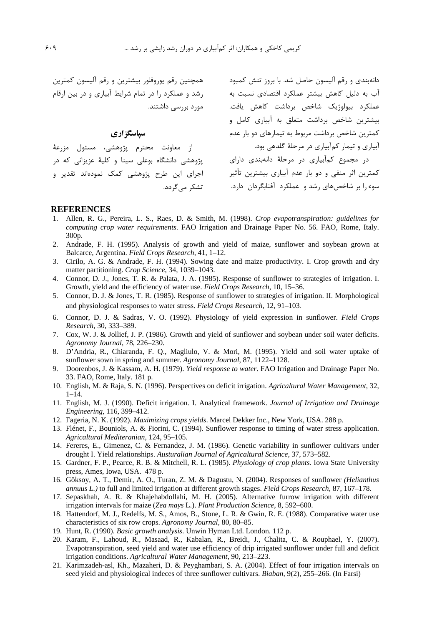دانهبندی و رقم آلیسون حاصل شد. با بروز تنش کمبود مسته همچنین رقم پوروفلور بیشترین و رقم آلیسون کمترین

سیاسگز اری

از معاونت محترم پژوهشی، مسئول مزرعهٔ تشکر مے گردد.

آب به دلیل کاهش بیشتر عملکرد اقتصادی نسبت به مصلورد را در تمام شرایط آبیاری و در بین ارقام<br>عملکرد بیولوژیک شاخص برداشت کاهش یافت. مورد بررسی داشتند. بیشترین شاخص برداشت متعلق به آبیاری کامل و کمترین شاخص برداشت مربوط به تیمارهای دو بار عدم .<br>آبیاری و تیمار کمآبیاری در مرحلهٔ گلدهی بود. در مجموع کمآبیاری در مرحلهٔ دانهبندی دارای پژوهشی دانشگاه بوعلی سینا و کلیهٔ عزیزانی که در<br>کمترین اثر منفی و دو بار عدم آبیاری بیشترین تأثیر اجرای این طرح پژوهشی کمک نمودهاند تقدیر و سوء را بر شاخصهای رشد و عملکرد آفتابگردان دارد.

#### **REFERENCES**

- Allen, R. G., Pereira, L. S., Raes, D. & Smith, M. (1998). Crop evapotranspiration: guidelines for computing crop water requirements. FAO Irrigation and Drainage Paper No. 56. FAO, Rome, Italy. 300<sub>p</sub>.
- 2. Andrade, F. H. (1995). Analysis of growth and yield of maize, sunflower and soybean grown at Balcarce, Argentina. Field Crops Research, 41, 1-12.
- 3. Cirilo, A. G. & Andrade, F. H. (1994). Sowing date and maize productivity. I. Crop growth and dry matter partitioning. Crop Science, 34, 1039-1043.
- 4. Connor, D. J., Jones, T. R. & Palata, J. A. (1985). Response of sunflower to strategies of irrigation. I. Growth, yield and the efficiency of water use. Field Crops Research, 10, 15–36.
- 5. Connor, D. J. & Jones, T. R. (1985). Response of sunflower to strategies of irrigation. II. Morphological and physiological responses to water stress. Field Crops Research, 12, 91–103.
- 6. Connor, D. J. & Sadras, V. O. (1992). Physiology of yield expression in sunflower. Field Crops Research, 30, 333-389.
- 7. Cox, W. J. & Jollief, J. P. (1986). Growth and yield of sunflower and soybean under soil water deficits. Agronomy Journal, 78, 226-230.
- 8. D'Andria, R., Chiaranda, F. Q., Magliulo, V. & Mori, M. (1995). Yield and soil water uptake of sunflower sown in spring and summer. Agronomy Journal, 87, 1122–1128.
- $9<sub>1</sub>$ Doorenbos, J. & Kassam, A. H. (1979). Yield response to water. FAO Irrigation and Drainage Paper No. 33. FAO, Rome, Italy. 181 p.
- 10. English, M. & Raja, S. N. (1996). Perspectives on deficit irrigation. Agricaltural Water Management, 32,  $1 - 14$ .
- 11. English, M. J. (1990). Deficit irrigation. I. Analytical framework. Journal of Irrigation and Drainage Engineering, 116, 399-412.
- 12. Fageria, N. K. (1992). Maximizing crops yields. Marcel Dekker Inc., New York, USA. 288 p.
- 13. Flénet, F., Bouniols, A. & Fiorini, C. (1994). Sunflower response to timing of water stress application. Agricaltural Mediteranian, 124, 95-105.
- 14. Fereres, E., Gimenez, C. & Fernandez, J. M. (1986). Genetic variability in sunflower cultivars under drought I. Yield relationships. Austuralian Journal of Agricaltural Science, 37, 573-582.
- 15. Gardner, F. P., Pearce, R. B. & Mitchell, R. L. (1985). Physiology of crop plants. Iowa State University press, Ames, Iowa, USA. 478 p.
- 16. Göksov, A. T., Demir, A. O., Turan, Z. M. & Dagustu, N. (2004). Responses of sunflower (Helianthus annuus L.) to full and limited irrigation at different growth stages. Field Crops Research, 87, 167-178.
- 17. Sepaskhah, A. R. & Khajehabdollahi, M. H. (2005). Alternative furrow irrigation with different irrigation intervals for maize (Zea mays L.). Plant Production Science, 8, 592–600.
- 18. Hattendorf, M. J., Redelfs, M. S., Amos, B., Stone, L. R. & Gwin, R. E. (1988). Comparative water use characteristics of six row crops. Agronomy Journal, 80, 80–85.
- 19. Hunt, R. (1990). Basic growth analysis. Unwin Hyman Ltd. London. 112 p.
- 20. Karam, F., Lahoud, R., Masaad, R., Kabalan, R., Breidi, J., Chalita, C. & Rouphael, Y. (2007). Evapotranspiration, seed yield and water use efficiency of drip irrigated sunflower under full and deficit irrigation conditions. Agricaltural Water Management, 90, 213-223.
- 21. Karimzadeh-asl, Kh., Mazaheri, D. & Peyghambari, S. A. (2004). Effect of four irrigation intervals on seed yield and physiological indeces of three sunflower cultivars. *Biaban*, 9(2), 255–266. (In Farsi)